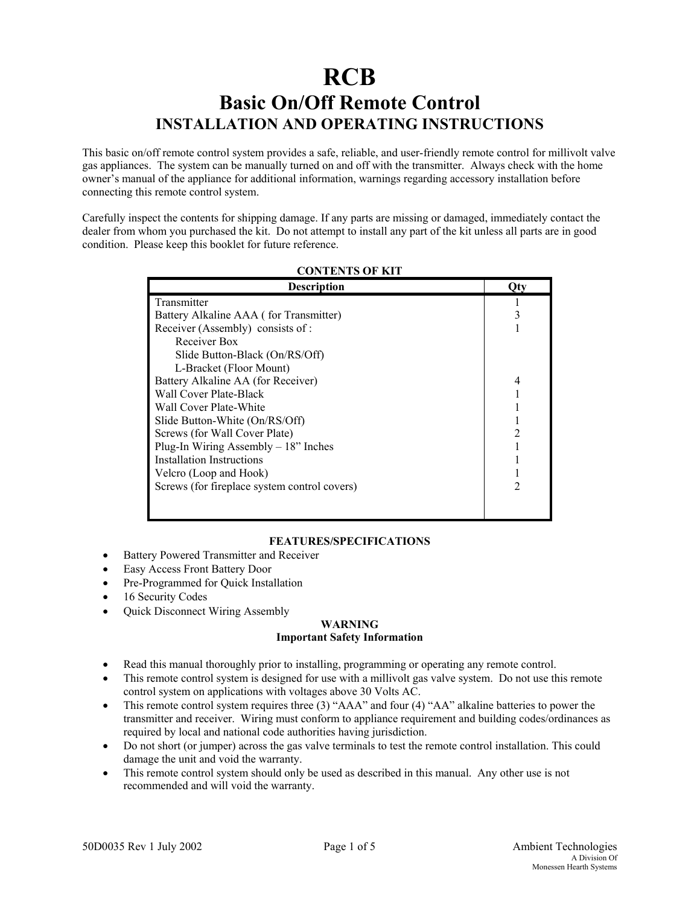# **RCB Basic On/Off Remote Control INSTALLATION AND OPERATING INSTRUCTIONS**

This basic on/off remote control system provides a safe, reliable, and user-friendly remote control for millivolt valve gas appliances. The system can be manually turned on and off with the transmitter. Always check with the home owner's manual of the appliance for additional information, warnings regarding accessory installation before connecting this remote control system.

Carefully inspect the contents for shipping damage. If any parts are missing or damaged, immediately contact the dealer from whom you purchased the kit. Do not attempt to install any part of the kit unless all parts are in good condition. Please keep this booklet for future reference.

| <b>Description</b>                           | ( )tv |
|----------------------------------------------|-------|
| Transmitter                                  |       |
| Battery Alkaline AAA (for Transmitter)       |       |
| Receiver (Assembly) consists of:             |       |
| Receiver Box                                 |       |
| Slide Button-Black (On/RS/Off)               |       |
| L-Bracket (Floor Mount)                      |       |
| Battery Alkaline AA (for Receiver)           |       |
| Wall Cover Plate-Black                       |       |
| Wall Cover Plate-White                       |       |
| Slide Button-White (On/RS/Off)               |       |
| Screws (for Wall Cover Plate)                |       |
| Plug-In Wiring Assembly $-18$ " Inches       |       |
| Installation Instructions                    |       |
| Velcro (Loop and Hook)                       |       |
| Screws (for fireplace system control covers) |       |
|                                              |       |
|                                              |       |

## **CONTENTS OF KIT**

## **FEATURES/SPECIFICATIONS**

- Battery Powered Transmitter and Receiver
- Easy Access Front Battery Door
- Pre-Programmed for Quick Installation
- 16 Security Codes
- Quick Disconnect Wiring Assembly

#### **WARNING Important Safety Information**

- Read this manual thoroughly prior to installing, programming or operating any remote control.
- This remote control system is designed for use with a millivolt gas valve system. Do not use this remote control system on applications with voltages above 30 Volts AC.
- This remote control system requires three (3) "AAA" and four (4) "AA" alkaline batteries to power the transmitter and receiver. Wiring must conform to appliance requirement and building codes/ordinances as required by local and national code authorities having jurisdiction.
- Do not short (or jumper) across the gas valve terminals to test the remote control installation. This could damage the unit and void the warranty.
- This remote control system should only be used as described in this manual. Any other use is not recommended and will void the warranty.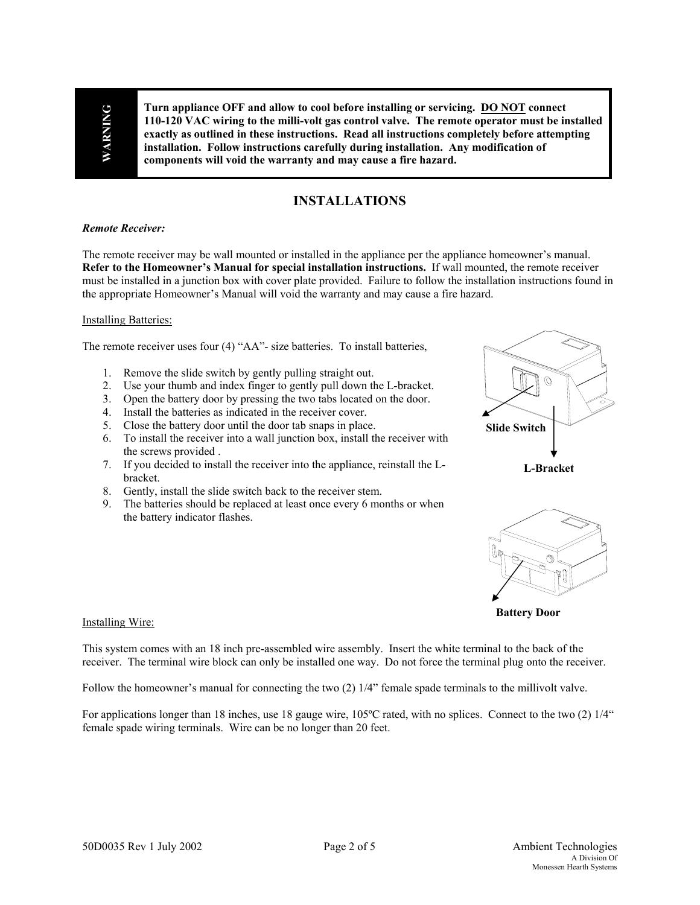WARNING **WARNING** 

**Turn appliance OFF and allow to cool before installing or servicing. DO NOT connect 110-120 VAC wiring to the milli-volt gas control valve. The remote operator must be installed exactly as outlined in these instructions. Read all instructions completely before attempting installation. Follow instructions carefully during installation. Any modification of components will void the warranty and may cause a fire hazard.**

# **INSTALLATIONS**

#### *Remote Receiver:*

The remote receiver may be wall mounted or installed in the appliance per the appliance homeowner's manual. **Refer to the Homeowner's Manual for special installation instructions.** If wall mounted, the remote receiver must be installed in a junction box with cover plate provided. Failure to follow the installation instructions found in the appropriate Homeowner's Manual will void the warranty and may cause a fire hazard.

#### Installing Batteries:

The remote receiver uses four (4) "AA"- size batteries. To install batteries,

- 1. Remove the slide switch by gently pulling straight out.
- 2. Use your thumb and index finger to gently pull down the L-bracket.
- 3. Open the battery door by pressing the two tabs located on the door.
- 4. Install the batteries as indicated in the receiver cover.
- 5. Close the battery door until the door tab snaps in place.
- 6. To install the receiver into a wall junction box, install the receiver with the screws provided .
- 7. If you decided to install the receiver into the appliance, reinstall the Lbracket.
- 8. Gently, install the slide switch back to the receiver stem.
- 9. The batteries should be replaced at least once every 6 months or when the battery indicator flashes.



**L-Bracket** 



**Battery Door** 

#### Installing Wire:

This system comes with an 18 inch pre-assembled wire assembly. Insert the white terminal to the back of the receiver. The terminal wire block can only be installed one way. Do not force the terminal plug onto the receiver.

Follow the homeowner's manual for connecting the two (2) 1/4" female spade terminals to the millivolt valve.

For applications longer than 18 inches, use 18 gauge wire, 105ºC rated, with no splices. Connect to the two (2) 1/4" female spade wiring terminals. Wire can be no longer than 20 feet.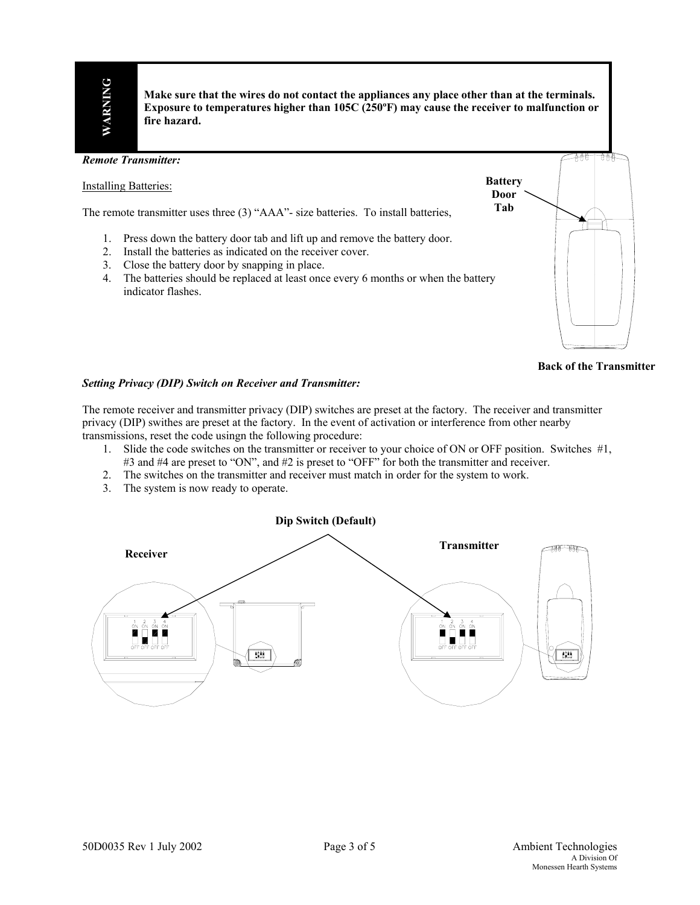**Make sure that the wires do not contact the appliances any place other than at the terminals. Exposure to temperatures higher than 105C (250ºF) may cause the receiver to malfunction or fire hazard.**



**Back of the Transmitter** 

### *Setting Privacy (DIP) Switch on Receiver and Transmitter:*

The remote receiver and transmitter privacy (DIP) switches are preset at the factory. The receiver and transmitter privacy (DIP) swithes are preset at the factory. In the event of activation or interference from other nearby transmissions, reset the code usingn the following procedure:

- 1. Slide the code switches on the transmitter or receiver to your choice of ON or OFF position. Switches #1, #3 and #4 are preset to "ON", and #2 is preset to "OFF" for both the transmitter and receiver.
- 2. The switches on the transmitter and receiver must match in order for the system to work.
- 3. The system is now ready to operate.

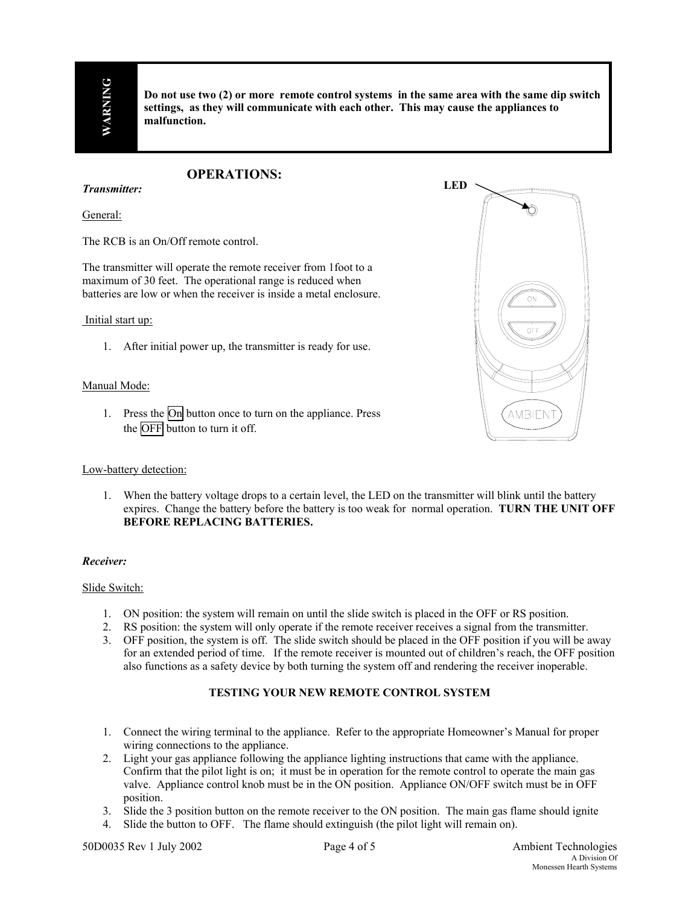**Do not use two (2) or more remote control systems in the same area with the same dip switch settings, as they will communicate with each other. This may cause the appliances to malfunction.**

# **OPERATIONS:**

*Transmitter:* 

General:

The RCB is an On/Off remote control.

The transmitter will operate the remote receiver from 1foot to a maximum of 30 feet. The operational range is reduced when batteries are low or when the receiver is inside a metal enclosure.

#### Initial start up:

1. After initial power up, the transmitter is ready for use.

#### Manual Mode:

1. Press the On button once to turn on the appliance. Press the OFF button to turn it off.

#### Low-battery detection:

1. When the battery voltage drops to a certain level, the LED on the transmitter will blink until the battery expires. Change the battery before the battery is too weak for normal operation. **TURN THE UNIT OFF BEFORE REPLACING BATTERIES.**

#### *Receiver:*

#### Slide Switch:

- 1. ON position: the system will remain on until the slide switch is placed in the OFF or RS position.
- 2. RS position: the system will only operate if the remote receiver receives a signal from the transmitter.
- 3. OFF position, the system is off. The slide switch should be placed in the OFF position if you will be away for an extended period of time. If the remote receiver is mounted out of children's reach, the OFF position also functions as a safety device by both turning the system off and rendering the receiver inoperable.

## **TESTING YOUR NEW REMOTE CONTROL SYSTEM**

- 1. Connect the wiring terminal to the appliance. Refer to the appropriate Homeowner's Manual for proper wiring connections to the appliance.
- 2. Light your gas appliance following the appliance lighting instructions that came with the appliance. Confirm that the pilot light is on; it must be in operation for the remote control to operate the main gas valve. Appliance control knob must be in the ON position. Appliance ON/OFF switch must be in OFF position.
- 3. Slide the 3 position button on the remote receiver to the ON position. The main gas flame should ignite
- 4. Slide the button to OFF. The flame should extinguish (the pilot light will remain on).